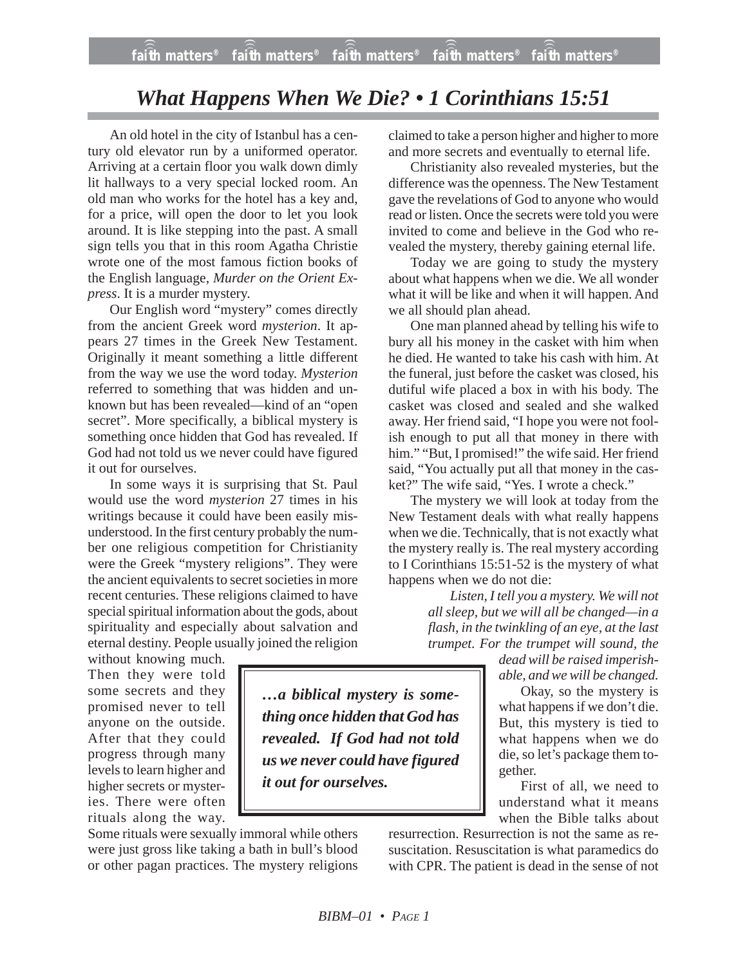## *What Happens When We Die? • 1 Corinthians 15:51*

An old hotel in the city of Istanbul has a century old elevator run by a uniformed operator. Arriving at a certain floor you walk down dimly lit hallways to a very special locked room. An old man who works for the hotel has a key and, for a price, will open the door to let you look around. It is like stepping into the past. A small sign tells you that in this room Agatha Christie wrote one of the most famous fiction books of the English language, *Murder on the Orient Express*. It is a murder mystery.

Our English word "mystery" comes directly from the ancient Greek word *mysterion*. It appears 27 times in the Greek New Testament. Originally it meant something a little different from the way we use the word today. *Mysterion* referred to something that was hidden and unknown but has been revealed—kind of an "open secret". More specifically, a biblical mystery is something once hidden that God has revealed. If God had not told us we never could have figured it out for ourselves.

In some ways it is surprising that St. Paul would use the word *mysterion* 27 times in his writings because it could have been easily misunderstood. In the first century probably the number one religious competition for Christianity were the Greek "mystery religions". They were the ancient equivalents to secret societies in more recent centuries. These religions claimed to have special spiritual information about the gods, about spirituality and especially about salvation and eternal destiny. People usually joined the religion

without knowing much. Then they were told some secrets and they promised never to tell anyone on the outside. After that they could progress through many levels to learn higher and higher secrets or mysteries. There were often rituals along the way.

Some rituals were sexually immoral while others were just gross like taking a bath in bull's blood or other pagan practices. The mystery religions claimed to take a person higher and higher to more and more secrets and eventually to eternal life.

Christianity also revealed mysteries, but the difference was the openness. The New Testament gave the revelations of God to anyone who would read or listen. Once the secrets were told you were invited to come and believe in the God who revealed the mystery, thereby gaining eternal life.

Today we are going to study the mystery about what happens when we die. We all wonder what it will be like and when it will happen. And we all should plan ahead.

One man planned ahead by telling his wife to bury all his money in the casket with him when he died. He wanted to take his cash with him. At the funeral, just before the casket was closed, his dutiful wife placed a box in with his body. The casket was closed and sealed and she walked away. Her friend said, "I hope you were not foolish enough to put all that money in there with him." "But, I promised!" the wife said. Her friend said, "You actually put all that money in the casket?" The wife said, "Yes. I wrote a check."

The mystery we will look at today from the New Testament deals with what really happens when we die. Technically, that is not exactly what the mystery really is. The real mystery according to I Corinthians 15:51-52 is the mystery of what happens when we do not die:

> *Listen, I tell you a mystery. We will not all sleep, but we will all be changed—in a flash, in the twinkling of an eye, at the last trumpet. For the trumpet will sound, the*

*dead will be raised imperishable, and we will be changed.*

Okay, so the mystery is what happens if we don't die. But, this mystery is tied to what happens when we do die, so let's package them together.

First of all, we need to understand what it means when the Bible talks about

resurrection. Resurrection is not the same as resuscitation. Resuscitation is what paramedics do with CPR. The patient is dead in the sense of not

*it out for ourselves.*

*…a biblical mystery is something once hidden that God has revealed. If God had not told us we never could have figured*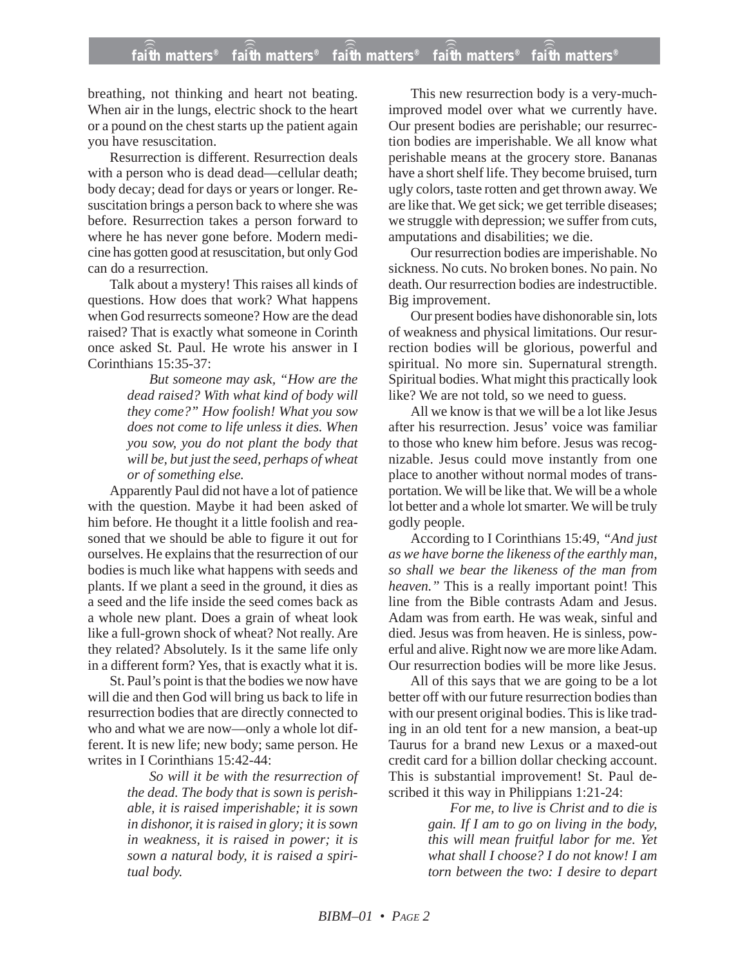breathing, not thinking and heart not beating. When air in the lungs, electric shock to the heart or a pound on the chest starts up the patient again you have resuscitation.

Resurrection is different. Resurrection deals with a person who is dead dead—cellular death; body decay; dead for days or years or longer. Resuscitation brings a person back to where she was before. Resurrection takes a person forward to where he has never gone before. Modern medicine has gotten good at resuscitation, but only God can do a resurrection.

Talk about a mystery! This raises all kinds of questions. How does that work? What happens when God resurrects someone? How are the dead raised? That is exactly what someone in Corinth once asked St. Paul. He wrote his answer in I Corinthians 15:35-37:

> *But someone may ask, "How are the dead raised? With what kind of body will they come?" How foolish! What you sow does not come to life unless it dies. When you sow, you do not plant the body that will be, but just the seed, perhaps of wheat or of something else.*

Apparently Paul did not have a lot of patience with the question. Maybe it had been asked of him before. He thought it a little foolish and reasoned that we should be able to figure it out for ourselves. He explains that the resurrection of our bodies is much like what happens with seeds and plants. If we plant a seed in the ground, it dies as a seed and the life inside the seed comes back as a whole new plant. Does a grain of wheat look like a full-grown shock of wheat? Not really. Are they related? Absolutely. Is it the same life only in a different form? Yes, that is exactly what it is.

St. Paul's point is that the bodies we now have will die and then God will bring us back to life in resurrection bodies that are directly connected to who and what we are now—only a whole lot different. It is new life; new body; same person. He writes in I Corinthians 15:42-44:

> *So will it be with the resurrection of the dead. The body that is sown is perishable, it is raised imperishable; it is sown in dishonor, it is raised in glory; it is sown in weakness, it is raised in power; it is sown a natural body, it is raised a spiritual body.*

This new resurrection body is a very-muchimproved model over what we currently have. Our present bodies are perishable; our resurrection bodies are imperishable. We all know what perishable means at the grocery store. Bananas have a short shelf life. They become bruised, turn ugly colors, taste rotten and get thrown away. We are like that. We get sick; we get terrible diseases; we struggle with depression; we suffer from cuts, amputations and disabilities; we die.

Our resurrection bodies are imperishable. No sickness. No cuts. No broken bones. No pain. No death. Our resurrection bodies are indestructible. Big improvement.

Our present bodies have dishonorable sin, lots of weakness and physical limitations. Our resurrection bodies will be glorious, powerful and spiritual. No more sin. Supernatural strength. Spiritual bodies. What might this practically look like? We are not told, so we need to guess.

All we know is that we will be a lot like Jesus after his resurrection. Jesus' voice was familiar to those who knew him before. Jesus was recognizable. Jesus could move instantly from one place to another without normal modes of transportation. We will be like that. We will be a whole lot better and a whole lot smarter. We will be truly godly people.

According to I Corinthians 15:49, *"And just as we have borne the likeness of the earthly man, so shall we bear the likeness of the man from heaven."* This is a really important point! This line from the Bible contrasts Adam and Jesus. Adam was from earth. He was weak, sinful and died. Jesus was from heaven. He is sinless, powerful and alive. Right now we are more like Adam. Our resurrection bodies will be more like Jesus.

All of this says that we are going to be a lot better off with our future resurrection bodies than with our present original bodies. This is like trading in an old tent for a new mansion, a beat-up Taurus for a brand new Lexus or a maxed-out credit card for a billion dollar checking account. This is substantial improvement! St. Paul described it this way in Philippians 1:21-24:

> *For me, to live is Christ and to die is gain. If I am to go on living in the body, this will mean fruitful labor for me. Yet what shall I choose? I do not know! I am torn between the two: I desire to depart*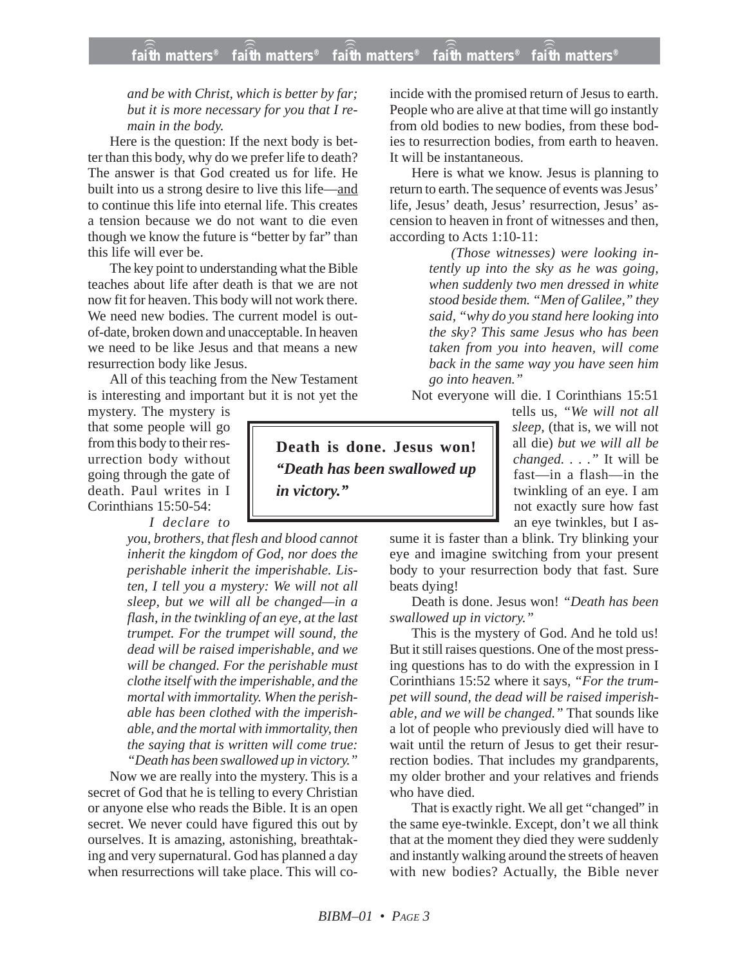## *and be with Christ, which is better by far; but it is more necessary for you that I remain in the body.*

Here is the question: If the next body is better than this body, why do we prefer life to death? The answer is that God created us for life. He built into us a strong desire to live this life—and to continue this life into eternal life. This creates a tension because we do not want to die even though we know the future is "better by far" than this life will ever be.

The key point to understanding what the Bible teaches about life after death is that we are not now fit for heaven. This body will not work there. We need new bodies. The current model is outof-date, broken down and unacceptable. In heaven we need to be like Jesus and that means a new resurrection body like Jesus.

All of this teaching from the New Testament is interesting and important but it is not yet the

mystery. The mystery is that some people will go from this body to their resurrection body without going through the gate of death. Paul writes in I Corinthians 15:50-54:

*I declare to*

*you, brothers, that flesh and blood cannot inherit the kingdom of God, nor does the perishable inherit the imperishable. Listen, I tell you a mystery: We will not all sleep, but we will all be changed—in a flash, in the twinkling of an eye, at the last trumpet. For the trumpet will sound, the dead will be raised imperishable, and we will be changed. For the perishable must clothe itself with the imperishable, and the mortal with immortality. When the perishable has been clothed with the imperishable, and the mortal with immortality, then the saying that is written will come true: "Death has been swallowed up in victory."*

Now we are really into the mystery. This is a secret of God that he is telling to every Christian or anyone else who reads the Bible. It is an open secret. We never could have figured this out by ourselves. It is amazing, astonishing, breathtaking and very supernatural. God has planned a day when resurrections will take place. This will coincide with the promised return of Jesus to earth. People who are alive at that time will go instantly from old bodies to new bodies, from these bodies to resurrection bodies, from earth to heaven. It will be instantaneous.

Here is what we know. Jesus is planning to return to earth. The sequence of events was Jesus' life, Jesus' death, Jesus' resurrection, Jesus' ascension to heaven in front of witnesses and then, according to Acts 1:10-11:

> *(Those witnesses) were looking intently up into the sky as he was going, when suddenly two men dressed in white stood beside them. "Men of Galilee," they said, "why do you stand here looking into the sky? This same Jesus who has been taken from you into heaven, will come back in the same way you have seen him go into heaven."*

Not everyone will die. I Corinthians 15:51

tells us, *"We will not all sleep,* (that is, we will not all die) *but we will all be changed. . . ."* It will be fast—in a flash—in the twinkling of an eye. I am not exactly sure how fast an eye twinkles, but I as-

sume it is faster than a blink. Try blinking your eye and imagine switching from your present body to your resurrection body that fast. Sure beats dying!

Death is done. Jesus won! *"Death has been swallowed up in victory."*

This is the mystery of God. And he told us! But it still raises questions. One of the most pressing questions has to do with the expression in I Corinthians 15:52 where it says, *"For the trumpet will sound, the dead will be raised imperishable, and we will be changed."* That sounds like a lot of people who previously died will have to wait until the return of Jesus to get their resurrection bodies. That includes my grandparents, my older brother and your relatives and friends who have died.

That is exactly right. We all get "changed" in the same eye-twinkle. Except, don't we all think that at the moment they died they were suddenly and instantly walking around the streets of heaven with new bodies? Actually, the Bible never

**Death is done. Jesus won!** *"Death has been swallowed up in victory."*